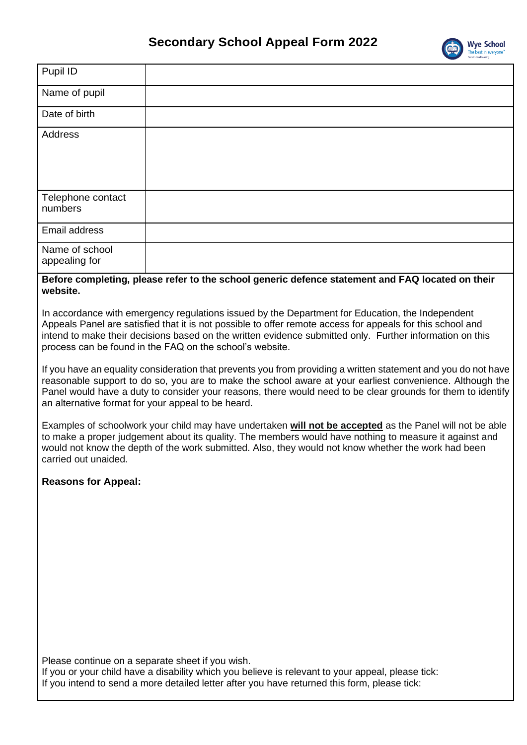

|                                                                                                                                                                                                                                                                                                                                                                                        | The best in everyone'                                                                                                                                                                                                                                                                                                                                                                           |  |
|----------------------------------------------------------------------------------------------------------------------------------------------------------------------------------------------------------------------------------------------------------------------------------------------------------------------------------------------------------------------------------------|-------------------------------------------------------------------------------------------------------------------------------------------------------------------------------------------------------------------------------------------------------------------------------------------------------------------------------------------------------------------------------------------------|--|
| Pupil ID                                                                                                                                                                                                                                                                                                                                                                               |                                                                                                                                                                                                                                                                                                                                                                                                 |  |
| Name of pupil                                                                                                                                                                                                                                                                                                                                                                          |                                                                                                                                                                                                                                                                                                                                                                                                 |  |
| Date of birth                                                                                                                                                                                                                                                                                                                                                                          |                                                                                                                                                                                                                                                                                                                                                                                                 |  |
| <b>Address</b>                                                                                                                                                                                                                                                                                                                                                                         |                                                                                                                                                                                                                                                                                                                                                                                                 |  |
|                                                                                                                                                                                                                                                                                                                                                                                        |                                                                                                                                                                                                                                                                                                                                                                                                 |  |
| Telephone contact<br>numbers                                                                                                                                                                                                                                                                                                                                                           |                                                                                                                                                                                                                                                                                                                                                                                                 |  |
| Email address                                                                                                                                                                                                                                                                                                                                                                          |                                                                                                                                                                                                                                                                                                                                                                                                 |  |
| Name of school<br>appealing for                                                                                                                                                                                                                                                                                                                                                        |                                                                                                                                                                                                                                                                                                                                                                                                 |  |
| website.                                                                                                                                                                                                                                                                                                                                                                               | Before completing, please refer to the school generic defence statement and FAQ located on their                                                                                                                                                                                                                                                                                                |  |
| In accordance with emergency regulations issued by the Department for Education, the Independent<br>Appeals Panel are satisfied that it is not possible to offer remote access for appeals for this school and<br>intend to make their decisions based on the written evidence submitted only. Further information on this<br>process can be found in the FAQ on the school's website. |                                                                                                                                                                                                                                                                                                                                                                                                 |  |
|                                                                                                                                                                                                                                                                                                                                                                                        | If you have an equality consideration that prevents you from providing a written statement and you do not have<br>reasonable support to do so, you are to make the school aware at your earliest convenience. Although the<br>Panel would have a duty to consider your reasons, there would need to be clear grounds for them to identify<br>an alternative format for your appeal to be heard. |  |
| Examples of schoolwork your child may have undertaken will not be accepted as the Panel will not be able<br>to make a proper judgement about its quality. The members would have nothing to measure it against and<br>would not know the depth of the work submitted. Also, they would not know whether the work had been<br>carried out unaided.                                      |                                                                                                                                                                                                                                                                                                                                                                                                 |  |
| <b>Reasons for Appeal:</b>                                                                                                                                                                                                                                                                                                                                                             |                                                                                                                                                                                                                                                                                                                                                                                                 |  |
|                                                                                                                                                                                                                                                                                                                                                                                        |                                                                                                                                                                                                                                                                                                                                                                                                 |  |
|                                                                                                                                                                                                                                                                                                                                                                                        |                                                                                                                                                                                                                                                                                                                                                                                                 |  |
|                                                                                                                                                                                                                                                                                                                                                                                        |                                                                                                                                                                                                                                                                                                                                                                                                 |  |
|                                                                                                                                                                                                                                                                                                                                                                                        |                                                                                                                                                                                                                                                                                                                                                                                                 |  |
|                                                                                                                                                                                                                                                                                                                                                                                        |                                                                                                                                                                                                                                                                                                                                                                                                 |  |
|                                                                                                                                                                                                                                                                                                                                                                                        |                                                                                                                                                                                                                                                                                                                                                                                                 |  |
| Please continue on a separate sheet if you wish.<br>If you or your child have a disability which you believe is relevant to your appeal, please tick:<br>If you intend to send a more detailed letter after you have returned this form, please tick:                                                                                                                                  |                                                                                                                                                                                                                                                                                                                                                                                                 |  |